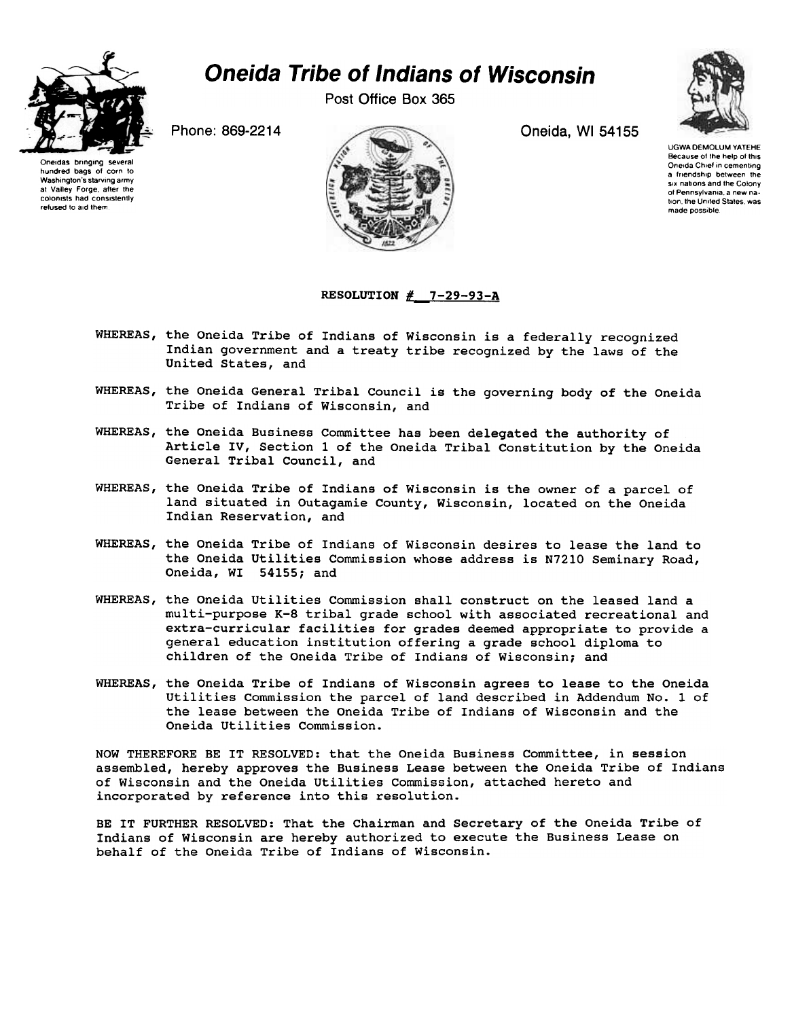

## Oneida Tribe of Indians of Wisconsin

Post Office Box 365



Oneidas bringing several hundred bags of corn to Washington's starving army at Valley Forge, affer the colonists had consistently refused to aid them



UGWA DEMOLUM YATEHE Because of the help of this Oneida Chief in cementing a friendship between the six nations and the Colony of Pennsylvania. a new nation, the United States, was made possible.

## RESOLUTION  $\#$  7-29-93-A

- WHEREAS, the Oneida Tribe of Indians of Wisconsin is a federally recognized Indian government and a treaty tribe recognized by the laws of the United States, and
- WHEREAS, the Oneida General Tribal Council is the governing body of the Oneida Tribe of Indians of Wisconsin, and
- WHEREAS, the Oneida Business Committee has been delegated the authority of Article IV, Section 1 of the Oneida Tribal Constitution by the Oneida General Tribal Council, and
- WHEREAS, the Oneida Tribe of Indians of Wisconsin is the owner of a parcel of land situated in Outagamie County, Wisconsin, located on the Oneida Indian Reservation, and
- WHEREAS, the Oneida Tribe of Indians of Wisconsin desires to lease the land to the Oneida utilities Commission whose address is N7210 Seminary Road, Oneida, WI 54155; and
- WHEREAS, the Oneida Utilities Commission shall construct on the leased land a multi-purpose K-8 tribal grade school with associated recreational and extra-curricular facilities for grades deemed appropriate to provide a general education institution offering a grade school diploma to children of the Oneida Tribe of Indians of Wisconsin; and
- WHEREAS, the Oneida Tribe of Indians of Wisconsin agrees to lease to the Oneida utilities Commission the parcel of land described in Addendum No.1 of the lease between the Oneida Tribe of Indians of Wisconsin and the Oneida Utilities Commission.

NOW THEREFORE BE IT RESOLVED: that the Oneida Business Committee, in session assembled, hereby approves the Business Lease between the Oneida Tribe of Indians of Wisconsin and the Oneida utilities Commission, attached hereto and incorporated by reference into this resolution.

BE IT FURTHER RESOLVED: That the Chairman and Secretary of the Oneida Tribe of Indians of Wisconsin are hereby authorized to execute the Business Lease on behalf of the Oneida Tribe of Indians of Wisconsin.